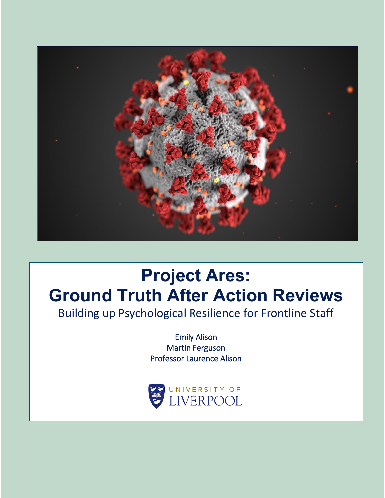

# **Project Ares: Ground Truth After Action Reviews**

Building up Psychological Resilience for Frontline Staff

Emily Alison Martin Ferguson Professor Laurence Alison

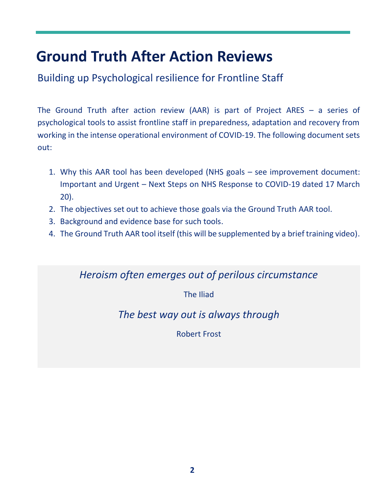## **Ground Truth After Action Reviews**

Building up Psychological resilience for Frontline Staff

The Ground Truth after action review (AAR) is part of Project ARES  $-$  a series of psychological tools to assist frontline staff in preparedness, adaptation and recovery from working in the intense operational environment of COVID-19. The following document sets out:

- 1. Why this AAR tool has been developed (NHS goals  $-$  see improvement document: Important and Urgent – Next Steps on NHS Response to COVID-19 dated 17 March 20).
- 2. The objectives set out to achieve those goals via the Ground Truth AAR tool.
- 3. Background and evidence base for such tools.
- 4. The Ground Truth AAR tool itself (this will be supplemented by a brief training video).

*Heroism often emerges out of perilous circumstance*

The Iliad

*The best way out is always through*

Robert Frost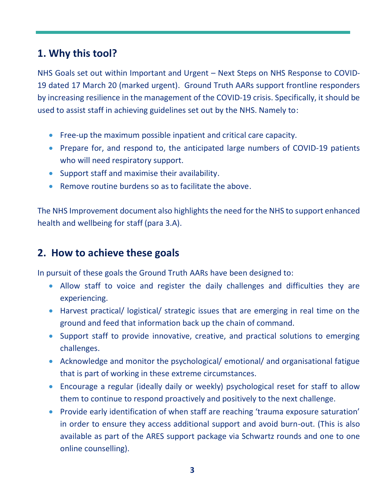## **1. Why this tool?**

NHS Goals set out within Important and Urgent – Next Steps on NHS Response to COVID-19 dated 17 March 20 (marked urgent). Ground Truth AARs support frontline responders by increasing resilience in the management of the COVID-19 crisis. Specifically, it should be used to assist staff in achieving guidelines set out by the NHS. Namely to:

- $\bullet$  Free-up the maximum possible inpatient and critical care capacity.
- Prepare for, and respond to, the anticipated large numbers of COVID-19 patients who will need respiratory support.
- Support staff and maximise their availability.
- $\bullet$  Remove routine burdens so as to facilitate the above.

The NHS Improvement document also highlights the need for the NHS to support enhanced health and wellbeing for staff (para 3.A).

## **2. How to achieve these goals**

In pursuit of these goals the Ground Truth AARs have been designed to:

- Allow staff to voice and register the daily challenges and difficulties they are experiencing.
- Harvest practical/ logistical/ strategic issues that are emerging in real time on the ground and feed that information back up the chain of command.
- Support staff to provide innovative, creative, and practical solutions to emerging challenges.
- Acknowledge and monitor the psychological/ emotional/ and organisational fatigue that is part of working in these extreme circumstances.
- Encourage a regular (ideally daily or weekly) psychological reset for staff to allow them to continue to respond proactively and positively to the next challenge.
- Provide early identification of when staff are reaching 'trauma exposure saturation' in order to ensure they access additional support and avoid burn-out. (This is also available as part of the ARES support package via Schwartz rounds and one to one online counselling).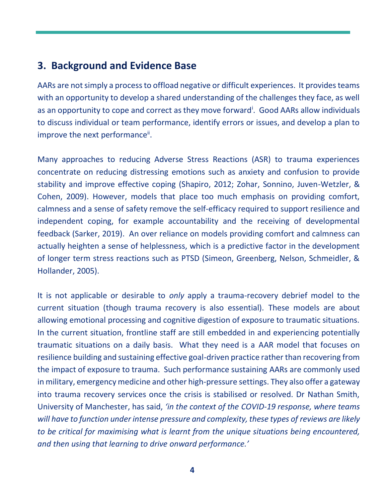#### **3. Background and Evidence Base**

AARs are not simply a process to offload negative or difficult experiences. It provides teams with an opportunity to develop a shared understanding of the challenges they face, as well as an opportunity to cope and correct as they move forward<sup>i</sup>. Good AARs allow individuals to discuss individual or team performance, identify errors or issues, and develop a plan to improve the next performance<sup>ii</sup>.

Many approaches to reducing Adverse Stress Reactions (ASR) to trauma experiences concentrate on reducing distressing emotions such as anxiety and confusion to provide stability and improve effective coping (Shapiro, 2012; Zohar, Sonnino, Juven-Wetzler, & Cohen, 2009). However, models that place too much emphasis on providing comfort, calmness and a sense of safety remove the self-efficacy required to support resilience and independent coping, for example accountability and the receiving of developmental feedback (Sarker, 2019). An over reliance on models providing comfort and calmness can actually heighten a sense of helplessness, which is a predictive factor in the development of longer term stress reactions such as PTSD (Simeon, Greenberg, Nelson, Schmeidler, & Hollander, 2005).

It is not applicable or desirable to *only* apply a trauma-recovery debrief model to the current situation (though trauma recovery is also essential). These models are about allowing emotional processing and cognitive digestion of exposure to traumatic situations. In the current situation, frontline staff are still embedded in and experiencing potentially traumatic situations on a daily basis. What they need is a AAR model that focuses on resilience building and sustaining effective goal-driven practice rather than recovering from the impact of exposure to trauma. Such performance sustaining AARs are commonly used in military, emergency medicine and other high-pressure settings. They also offer a gateway into trauma recovery services once the crisis is stabilised or resolved. Dr Nathan Smith, University of Manchester, has said, 'in the context of the COVID-19 response, where teams *will have to function under intense pressure and complexity, these types of reviews are likely to be critical for maximising what is learnt from the unique situations being encountered,*  and then using that learning to drive onward performance.'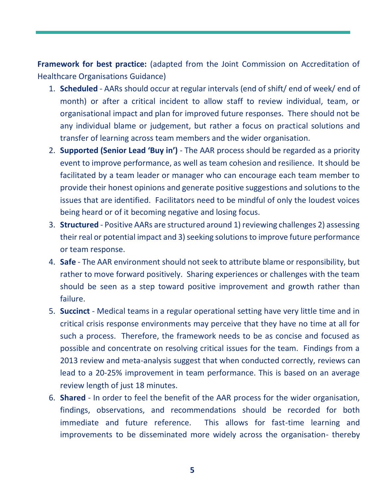**Framework for best practice:** (adapted from the Joint Commission on Accreditation of Healthcare Organisations Guidance)

- 1. **Scheduled** AARs should occur at regular intervals (end of shift/ end of week/ end of month) or after a critical incident to allow staff to review individual, team, or organisational impact and plan for improved future responses. There should not be any individual blame or judgement, but rather a focus on practical solutions and transfer of learning across team members and the wider organisation.
- 2. **Supported (Senior Lead 'Buy in')** The AAR process should be regarded as a priority event to improve performance, as well as team cohesion and resilience. It should be facilitated by a team leader or manager who can encourage each team member to provide their honest opinions and generate positive suggestions and solutions to the issues that are identified. Facilitators need to be mindful of only the loudest voices being heard or of it becoming negative and losing focus.
- 3. **Structured** Positive AARs are structured around 1) reviewing challenges 2) assessing their real or potential impact and 3) seeking solutions to improve future performance or team response.
- 4. **Safe** The AAR environment should not seek to attribute blame or responsibility, but rather to move forward positively. Sharing experiences or challenges with the team should be seen as a step toward positive improvement and growth rather than failure.
- 5. **Succinct** Medical teams in a regular operational setting have very little time and in critical crisis response environments may perceive that they have no time at all for such a process. Therefore, the framework needs to be as concise and focused as possible and concentrate on resolving critical issues for the team. Findings from a 2013 review and meta-analysis suggest that when conducted correctly, reviews can lead to a 20-25% improvement in team performance. This is based on an average review length of just 18 minutes.
- 6. **Shared** In order to feel the benefit of the AAR process for the wider organisation, findings, observations, and recommendations should be recorded for both immediate and future reference. This allows for fast-time learning and improvements to be disseminated more widely across the organisation- thereby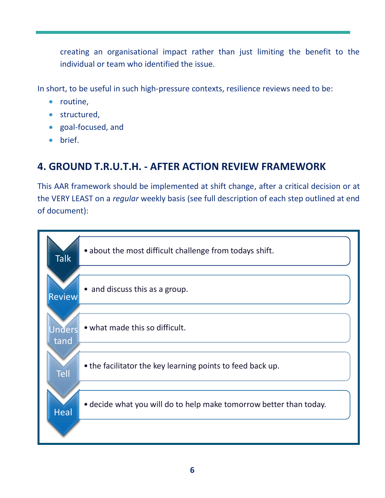creating an organisational impact rather than just limiting the benefit to the individual or team who identified the issue.

In short, to be useful in such high-pressure contexts, resilience reviews need to be:

- routine,
- structured,
- goal-focused, and
- $\bullet$  brief.

## **4. GROUND T.R.U.T.H. - AFTER ACTION REVIEW FRAMEWORK**

This AAR framework should be implemented at shift change, after a critical decision or at the VERY LEAST on a *regular* weekly basis (see full description of each step outlined at end of document):

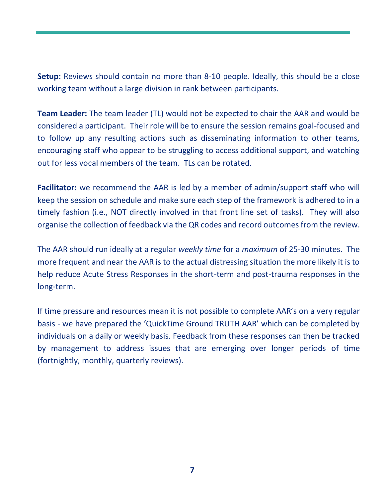**Setup:** Reviews should contain no more than 8-10 people. Ideally, this should be a close working team without a large division in rank between participants.

**Team Leader:** The team leader (TL) would not be expected to chair the AAR and would be considered a participant. Their role will be to ensure the session remains goal-focused and to follow up any resulting actions such as disseminating information to other teams, encouraging staff who appear to be struggling to access additional support, and watching out for less vocal members of the team. TLs can be rotated.

**Facilitator:** we recommend the AAR is led by a member of admin/support staff who will keep the session on schedule and make sure each step of the framework is adhered to in a timely fashion (i.e., NOT directly involved in that front line set of tasks). They will also organise the collection of feedback via the QR codes and record outcomes from the review.

The AAR should run ideally at a regular *weekly time* for a *maximum* of 25-30 minutes. The more frequent and near the AAR is to the actual distressing situation the more likely it is to help reduce Acute Stress Responses in the short-term and post-trauma responses in the long-term.

If time pressure and resources mean it is not possible to complete AAR's on a very regular basis - we have prepared the 'QuickTime Ground TRUTH AAR' which can be completed by individuals on a daily or weekly basis. Feedback from these responses can then be tracked by management to address issues that are emerging over longer periods of time (fortnightly, monthly, quarterly reviews).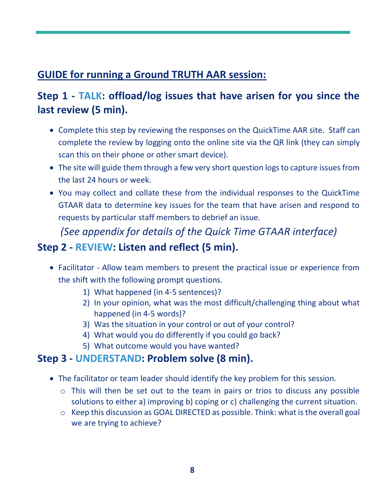## **GUIDE for running a Ground TRUTH AAR session:**

## **Step 1 - TALK: offload/log issues that have arisen for you since the last review (5 min).**

- Complete this step by reviewing the responses on the QuickTime AAR site. Staff can complete the review by logging onto the online site via the QR link (they can simply scan this on their phone or other smart device).
- The site will guide them through a few very short question logs to capture issues from the last 24 hours or week.
- You may collect and collate these from the individual responses to the QuickTime GTAAR data to determine key issues for the team that have arisen and respond to requests by particular staff members to debrief an issue.

*(See appendix for details of the Quick Time GTAAR interface)*

## **Step 2 - REVIEW: Listen and reflect (5 min).**

- Facilitator Allow team members to present the practical issue or experience from the shift with the following prompt questions.
	- 1) What happened (in 4-5 sentences)?
	- 2) In your opinion, what was the most difficult/challenging thing about what happened (in 4-5 words)?
	- 3) Was the situation in your control or out of your control?
	- 4) What would you do differently if you could go back?
	- 5) What outcome would you have wanted?

## **Step 3 - UNDERSTAND: Problem solve (8 min).**

- The facilitator or team leader should identify the key problem for this session.
	- o This will then be set out to the team in pairs or trios to discuss any possible solutions to either a) improving b) coping or c) challenging the current situation.
	- o Keep this discussion as GOAL DIRECTED as possible. Think: what is the overall goal we are trying to achieve?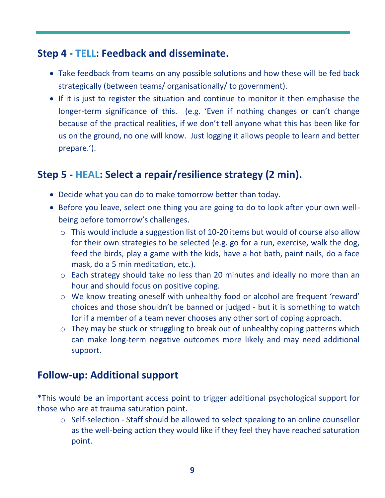#### **Step 4 - TELL: Feedback and disseminate.**

- Take feedback from teams on any possible solutions and how these will be fed back strategically (between teams/ organisationally/ to government).
- If it is just to register the situation and continue to monitor it then emphasise the longer-term significance of this. (e.g. 'Even if nothing changes or can't change because of the practical realities, if we don't tell anyone what this has been like for us on the ground, no one will know. Just logging it allows people to learn and better prepare.").

## **Step 5 - HEAL: Select a repair/resilience strategy (2 min).**

- Decide what you can do to make tomorrow better than today.
- Before you leave, select one thing you are going to do to look after your own wellbeing before tomorrow's challenges.
	- o This would include a suggestion list of 10-20 items but would of course also allow for their own strategies to be selected (e.g. go for a run, exercise, walk the dog, feed the birds, play a game with the kids, have a hot bath, paint nails, do a face mask, do a 5 min meditation, etc.).
	- o Each strategy should take no less than 20 minutes and ideally no more than an hour and should focus on positive coping.
	- o We know treating oneself with unhealthy food or alcohol are frequent 'reward' choices and those shouldn't be banned or judged - but it is something to watch for if a member of a team never chooses any other sort of coping approach.
	- o They may be stuck or struggling to break out of unhealthy coping patterns which can make long-term negative outcomes more likely and may need additional support.

## **Follow-up: Additional support**

\*This would be an important access point to trigger additional psychological support for those who are at trauma saturation point.

o Self-selection - Staff should be allowed to select speaking to an online counsellor as the well-being action they would like if they feel they have reached saturation point.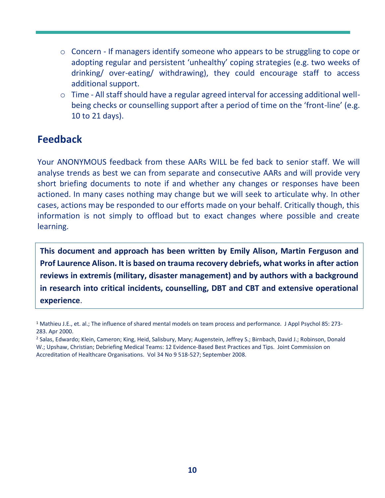- o Concern If managers identify someone who appears to be struggling to cope or adopting regular and persistent 'unhealthy' coping strategies (e.g. two weeks of drinking/ over-eating/ withdrawing), they could encourage staff to access additional support.
- o Time All staff should have a regular agreed interval for accessing additional wellbeing checks or counselling support after a period of time on the 'front-line' (e.g. 10 to 21 days).

#### **Feedback**

Your ANONYMOUS feedback from these AARs WILL be fed back to senior staff. We will analyse trends as best we can from separate and consecutive AARs and will provide very short briefing documents to note if and whether any changes or responses have been actioned. In many cases nothing may change but we will seek to articulate why. In other cases, actions may be responded to our efforts made on your behalf. Critically though, this information is not simply to offload but to exact changes where possible and create learning.

**This document and approach has been written by Emily Alison, Martin Ferguson and Prof Laurence Alison. It is based on trauma recovery debriefs, what works in after action reviews in extremis (military, disaster management) and by authors with a background in research into critical incidents, counselling, DBT and CBT and extensive operational experience**.

<sup>1</sup> Mathieu J.E., et. al.; The influence of shared mental models on team process and performance. J Appl Psychol 85: 273- 283. Apr 2000.

<sup>2</sup> Salas, Edwardo; Klein, Cameron; King, Heid, Salisbury, Mary; Augenstein, Jeffrey S.; Birnbach, David J.; Robinson, Donald W.; Upshaw, Christian; Debriefing Medical Teams: 12 Evidence-Based Best Practices and Tips. Joint Commission on Accreditation of Healthcare Organisations. Vol 34 No 9 518-527; September 2008.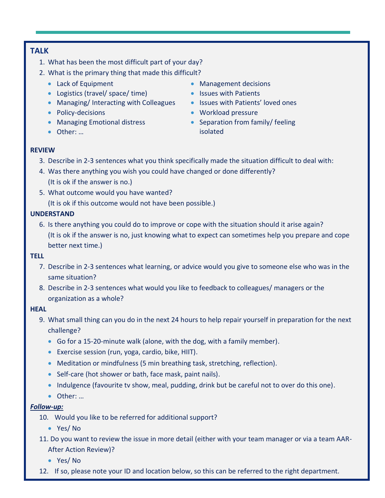#### **TALK**

- 1. What has been the most difficult part of your day?
- 2. What is the primary thing that made this difficult?
	-
	- Logistics (travel/ space/ time) Issues with Patients
	- Managing/ Interacting with Colleagues Issues with Patients' loved ones
	-
	- Managing Emotional distress
	- Other: ...
	- Lack of Equipment X Management decisions
		-
		-
	- Policy-decisions **by Workload pressure** 
		- $\bullet$  Separation from family/ feeling isolated

#### **REVIEW**

- 3. Describe in 2-3 sentences what you think specifically made the situation difficult to deal with:
- 4. Was there anything you wish you could have changed or done differently? (It is ok if the answer is no.)
- 5. What outcome would you have wanted?

(It is ok if this outcome would not have been possible.)

#### **UNDERSTAND**

6. Is there anything you could do to improve or cope with the situation should it arise again? (It is ok if the answer is no, just knowing what to expect can sometimes help you prepare and cope better next time.)

#### **TELL**

- 7. Describe in 2-3 sentences what learning, or advice would you give to someone else who was in the same situation?
- 8. Describe in 2-3 sentences what would you like to feedback to colleagues/ managers or the organization as a whole?

#### **HEAL**

- 9. What small thing can you do in the next 24 hours to help repair yourself in preparation for the next challenge?
	- Go for a 15-20-minute walk (alone, with the dog, with a family member).
	- Exercise session (run, yoga, cardio, bike, HIIT).
	- Meditation or mindfulness (5 min breathing task, stretching, reflection).
	- Self-care (hot shower or bath, face mask, paint nails).
	- Indulgence (favourite tv show, meal, pudding, drink but be careful not to over do this one).
	- Other: ...

#### *Follow-up:*

- 10. Would you like to be referred for additional support?
	- Yes/ No
- 11. Do you want to review the issue in more detail (either with your team manager or via a team AAR-After Action Review)?
	- Yes/ No
- **11** 12. If so, please note your ID and location below, so this can be referred to the right department.